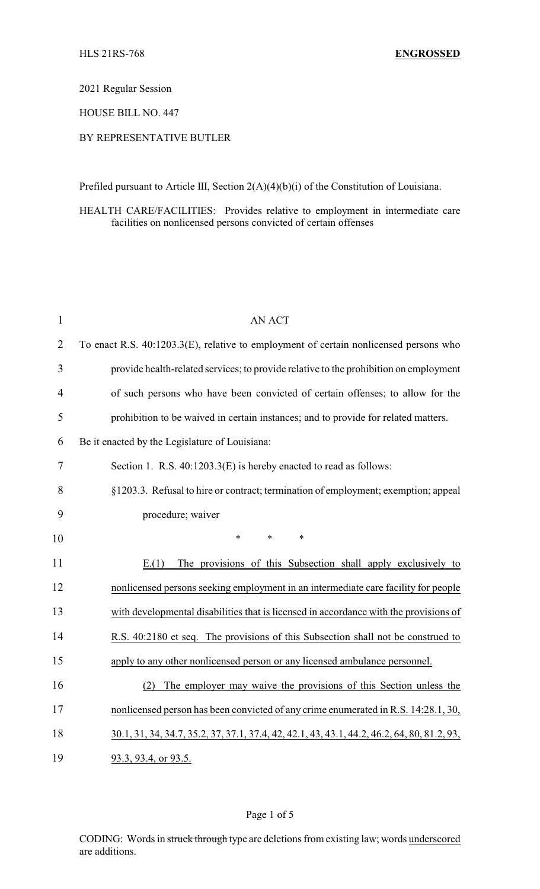2021 Regular Session

HOUSE BILL NO. 447

## BY REPRESENTATIVE BUTLER

Prefiled pursuant to Article III, Section 2(A)(4)(b)(i) of the Constitution of Louisiana.

HEALTH CARE/FACILITIES: Provides relative to employment in intermediate care facilities on nonlicensed persons convicted of certain offenses

| $\mathbf{1}$   | <b>AN ACT</b>                                                                               |
|----------------|---------------------------------------------------------------------------------------------|
| $\overline{2}$ | To enact R.S. 40:1203.3(E), relative to employment of certain nonlicensed persons who       |
| 3              | provide health-related services; to provide relative to the prohibition on employment       |
| $\overline{4}$ | of such persons who have been convicted of certain offenses; to allow for the               |
| 5              | prohibition to be waived in certain instances; and to provide for related matters.          |
| 6              | Be it enacted by the Legislature of Louisiana:                                              |
| 7              | Section 1. R.S. 40:1203.3(E) is hereby enacted to read as follows:                          |
| 8              | §1203.3. Refusal to hire or contract; termination of employment; exemption; appeal          |
| 9              | procedure; waiver                                                                           |
| 10             | $\ast$<br>$\ast$<br>$\ast$                                                                  |
| 11             | The provisions of this Subsection shall apply exclusively to<br>E(1)                        |
| 12             | nonlicensed persons seeking employment in an intermediate care facility for people          |
| 13             | with developmental disabilities that is licensed in accordance with the provisions of       |
| 14             | R.S. 40:2180 et seq. The provisions of this Subsection shall not be construed to            |
| 15             | apply to any other nonlicensed person or any licensed ambulance personnel.                  |
| 16             | The employer may waive the provisions of this Section unless the<br>(2)                     |
| 17             | nonlicensed person has been convicted of any crime enumerated in R.S. 14:28.1, 30,          |
| 18             | 30.1, 31, 34, 34.7, 35.2, 37, 37.1, 37.4, 42, 42.1, 43, 43.1, 44.2, 46.2, 64, 80, 81.2, 93, |
| 19             | 93.3, 93.4, or 93.5.                                                                        |

Page 1 of 5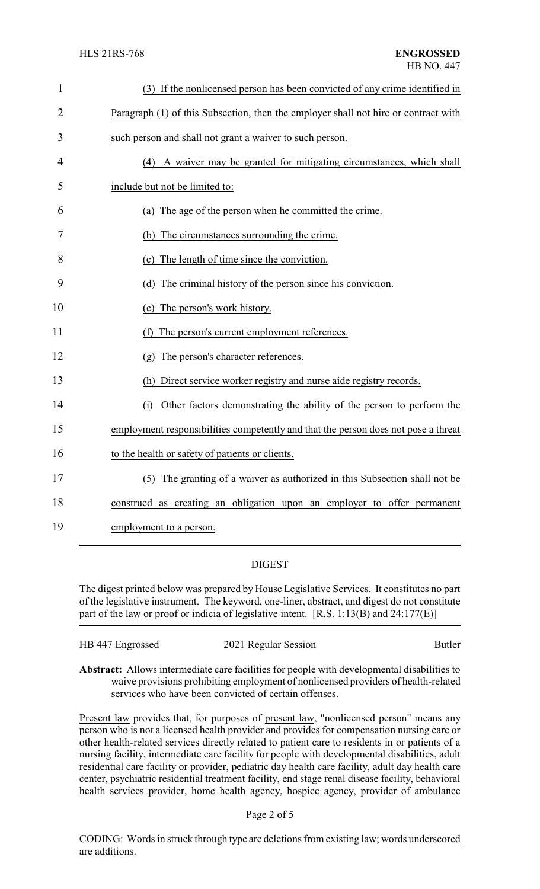| $\mathbf{1}$   | (3) If the nonlicensed person has been convicted of any crime identified in         |
|----------------|-------------------------------------------------------------------------------------|
| $\overline{2}$ | Paragraph (1) of this Subsection, then the employer shall not hire or contract with |
| 3              | such person and shall not grant a waiver to such person.                            |
| 4              | (4) A waiver may be granted for mitigating circumstances, which shall               |
| 5              | include but not be limited to:                                                      |
| 6              | (a) The age of the person when he committed the crime.                              |
| 7              | (b) The circumstances surrounding the crime.                                        |
| 8              | (c) The length of time since the conviction.                                        |
| 9              | (d) The criminal history of the person since his conviction.                        |
| 10             | (e) The person's work history.                                                      |
| 11             | (f) The person's current employment references.                                     |
| 12             | (g) The person's character references.                                              |
| 13             | (h) Direct service worker registry and nurse aide registry records.                 |
| 14             | (i) Other factors demonstrating the ability of the person to perform the            |
| 15             | employment responsibilities competently and that the person does not pose a threat  |
| 16             | to the health or safety of patients or clients.                                     |
| 17             | (5) The granting of a waiver as authorized in this Subsection shall not be          |
| 18             | construed as creating an obligation upon an employer to offer permanent             |
| 19             | employment to a person.                                                             |

## DIGEST

The digest printed below was prepared by House Legislative Services. It constitutes no part of the legislative instrument. The keyword, one-liner, abstract, and digest do not constitute part of the law or proof or indicia of legislative intent. [R.S. 1:13(B) and 24:177(E)]

| HB 447 Engrossed | 2021 Regular Session | <b>Butler</b> |
|------------------|----------------------|---------------|
|                  |                      |               |

**Abstract:** Allows intermediate care facilities for people with developmental disabilities to waive provisions prohibiting employment of nonlicensed providers of health-related services who have been convicted of certain offenses.

Present law provides that, for purposes of present law, "nonlicensed person" means any person who is not a licensed health provider and provides for compensation nursing care or other health-related services directly related to patient care to residents in or patients of a nursing facility, intermediate care facility for people with developmental disabilities, adult residential care facility or provider, pediatric day health care facility, adult day health care center, psychiatric residential treatment facility, end stage renal disease facility, behavioral health services provider, home health agency, hospice agency, provider of ambulance

Page 2 of 5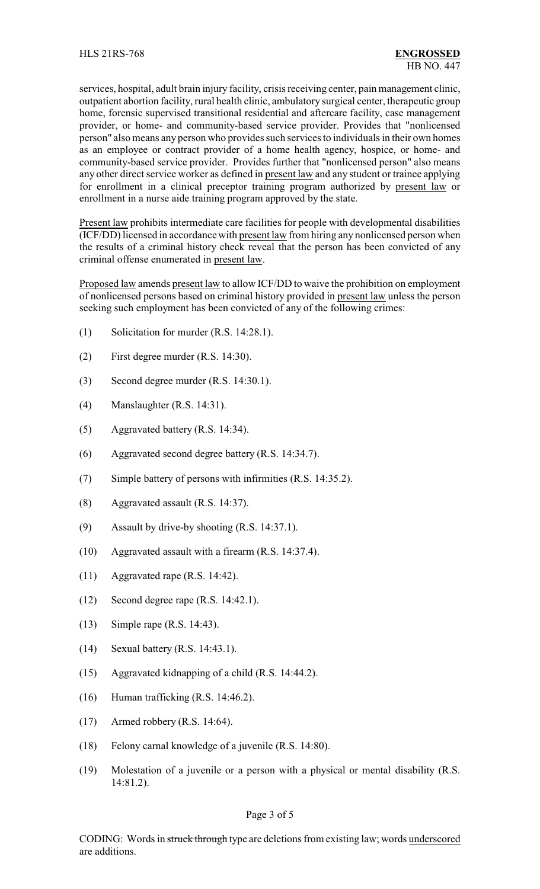services, hospital, adult brain injury facility, crisis receiving center, pain management clinic, outpatient abortion facility, rural health clinic, ambulatory surgical center, therapeutic group home, forensic supervised transitional residential and aftercare facility, case management provider, or home- and community-based service provider. Provides that "nonlicensed person" also means any person who provides such services to individuals in their own homes as an employee or contract provider of a home health agency, hospice, or home- and community-based service provider. Provides further that "nonlicensed person" also means any other direct service worker as defined in present law and any student or trainee applying for enrollment in a clinical preceptor training program authorized by present law or enrollment in a nurse aide training program approved by the state.

Present law prohibits intermediate care facilities for people with developmental disabilities (ICF/DD) licensed in accordance with present law from hiring any nonlicensed person when the results of a criminal history check reveal that the person has been convicted of any criminal offense enumerated in present law.

Proposed law amends present law to allow ICF/DD to waive the prohibition on employment of nonlicensed persons based on criminal history provided in present law unless the person seeking such employment has been convicted of any of the following crimes:

- (1) Solicitation for murder (R.S. 14:28.1).
- (2) First degree murder (R.S. 14:30).
- (3) Second degree murder (R.S. 14:30.1).
- (4) Manslaughter (R.S. 14:31).
- (5) Aggravated battery (R.S. 14:34).
- (6) Aggravated second degree battery (R.S. 14:34.7).
- (7) Simple battery of persons with infirmities (R.S. 14:35.2).
- (8) Aggravated assault (R.S. 14:37).
- (9) Assault by drive-by shooting (R.S. 14:37.1).
- (10) Aggravated assault with a firearm (R.S. 14:37.4).
- (11) Aggravated rape (R.S. 14:42).
- (12) Second degree rape (R.S. 14:42.1).
- (13) Simple rape (R.S. 14:43).
- (14) Sexual battery (R.S. 14:43.1).
- (15) Aggravated kidnapping of a child (R.S. 14:44.2).
- (16) Human trafficking (R.S. 14:46.2).
- (17) Armed robbery (R.S. 14:64).
- (18) Felony carnal knowledge of a juvenile (R.S. 14:80).
- (19) Molestation of a juvenile or a person with a physical or mental disability (R.S. 14:81.2).

## Page 3 of 5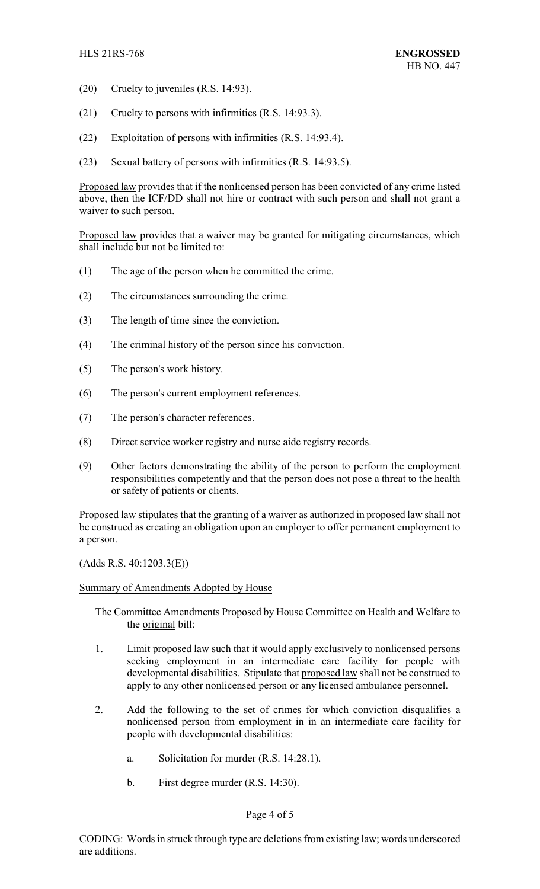- (20) Cruelty to juveniles (R.S. 14:93).
- (21) Cruelty to persons with infirmities (R.S. 14:93.3).
- (22) Exploitation of persons with infirmities (R.S. 14:93.4).
- (23) Sexual battery of persons with infirmities (R.S. 14:93.5).

Proposed law provides that if the nonlicensed person has been convicted of any crime listed above, then the ICF/DD shall not hire or contract with such person and shall not grant a waiver to such person.

Proposed law provides that a waiver may be granted for mitigating circumstances, which shall include but not be limited to:

- (1) The age of the person when he committed the crime.
- (2) The circumstances surrounding the crime.
- (3) The length of time since the conviction.
- (4) The criminal history of the person since his conviction.
- (5) The person's work history.
- (6) The person's current employment references.
- (7) The person's character references.
- (8) Direct service worker registry and nurse aide registry records.
- (9) Other factors demonstrating the ability of the person to perform the employment responsibilities competently and that the person does not pose a threat to the health or safety of patients or clients.

Proposed law stipulates that the granting of a waiver as authorized in proposed law shall not be construed as creating an obligation upon an employer to offer permanent employment to a person.

(Adds R.S. 40:1203.3(E))

## Summary of Amendments Adopted by House

The Committee Amendments Proposed by House Committee on Health and Welfare to the original bill:

- 1. Limit proposed law such that it would apply exclusively to nonlicensed persons seeking employment in an intermediate care facility for people with developmental disabilities. Stipulate that proposed law shall not be construed to apply to any other nonlicensed person or any licensed ambulance personnel.
- 2. Add the following to the set of crimes for which conviction disqualifies a nonlicensed person from employment in in an intermediate care facility for people with developmental disabilities:
	- a. Solicitation for murder (R.S. 14:28.1).
	- b. First degree murder (R.S. 14:30).